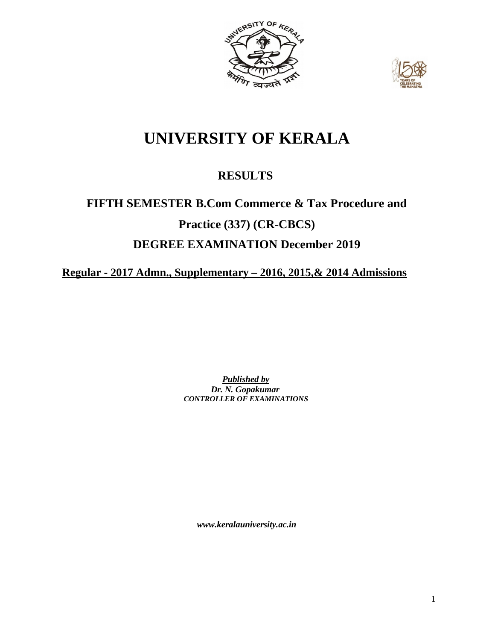



# **UNIVERSITY OF KERALA**

## **RESULTS**

# **FIFTH SEMESTER B.Com Commerce & Tax Procedure and Practice (337) (CR-CBCS) DEGREE EXAMINATION December 2019**

**Regular - 2017 Admn., Supplementary – 2016, 2015,& 2014 Admissions**

*Published by Dr. N. Gopakumar CONTROLLER OF EXAMINATIONS*

*[www.keralauniversity.ac.in](http://www.keralauniversity.ac.in/)*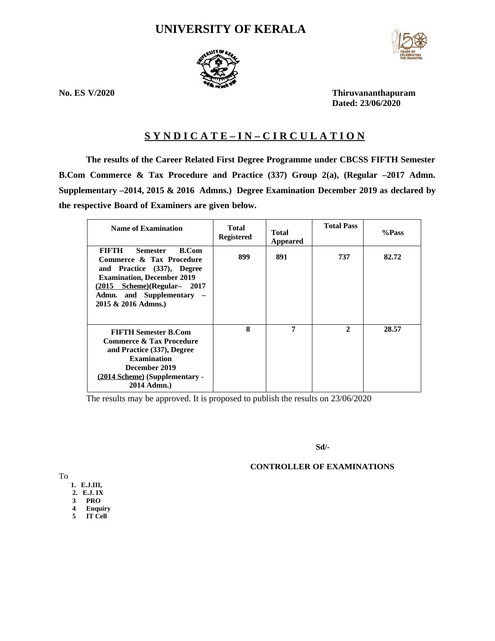## **UNIVERSITY OF KERALA**



**No. ES V/2020 Thiruvananthapuram Dated: 23/06/2020**

## **S Y N D I C A T E – I N – C I R C U L A T I O N**

**The results of the Career Related First Degree Programme under CBCSS FIFTH Semester B.Com Commerce & Tax Procedure and Practice (337) Group 2(a), (Regular –2017 Admn. Supplementary –2014, 2015 & 2016 Admns.) Degree Examination December 2019 as declared by the respective Board of Examiners are given below.**

| <b>Name of Examination</b>                                                                                                                                                                                   | Total<br><b>Registered</b> | <b>Total</b><br>Appeared | <b>Total Pass</b> | %Pass |
|--------------------------------------------------------------------------------------------------------------------------------------------------------------------------------------------------------------|----------------------------|--------------------------|-------------------|-------|
| FIFTH<br>Semester<br>B.Com<br>Commerce & Tax Procedure<br>and Practice (337), Degree<br><b>Examination, December 2019</b><br>(2015 Scheme)(Regular- 2017<br>Admn. and Supplementary -<br>2015 & 2016 Admns.) | 899                        | 891                      | 737               | 82.72 |
| <b>FIFTH Semester B.Com</b><br><b>Commerce &amp; Tax Procedure</b><br>and Practice (337), Degree<br><b>Examination</b><br>December 2019<br>(2014 Scheme) (Supplementary -<br>2014 Admn.)                     | 8                          | 7                        | $\overline{2}$    | 28.57 |

The results may be approved. It is proposed to publish the results on 23/06/2020

**Sd/-**

## **CONTROLLER OF EXAMINATIONS**

To

- **1. E.J.III,**
- **2. E.J. IX**
- **3 PRO**
- **4 Enquiry 5 IT Cell**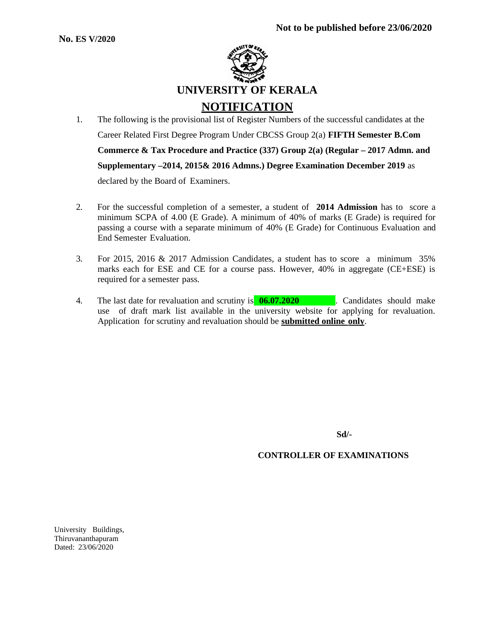

- 1. The following is the provisional list of Register Numbers of the successful candidates at the Career Related First Degree Program Under CBCSS Group 2(a) **FIFTH Semester B.Com Commerce & Tax Procedure and Practice (337) Group 2(a) (Regular – 2017 Admn. and Supplementary –2014, 2015& 2016 Admns.) Degree Examination December 2019** as declared by the Board of Examiners.
- 2. For the successful completion of a semester, a student of **2014 Admission** has to score a minimum SCPA of 4.00 (E Grade). A minimum of 40% of marks (E Grade) is required for passing a course with a separate minimum of 40% (E Grade) for Continuous Evaluation and End Semester Evaluation.
- 3. For 2015, 2016 & 2017 Admission Candidates, a student has to score a minimum 35% marks each for ESE and CE for a course pass. However, 40% in aggregate (CE+ESE) is required for a semester pass.
- 4. The last date for revaluation and scrutiny is **06.07.2020** . Candidates should make use of draft mark list available in the university website for applying for revaluation. Application for scrutiny and revaluation should be **submitted online only**.

**Sd/-**

**CONTROLLER OF EXAMINATIONS**

University Buildings, Thiruvananthapuram Dated: 23/06/2020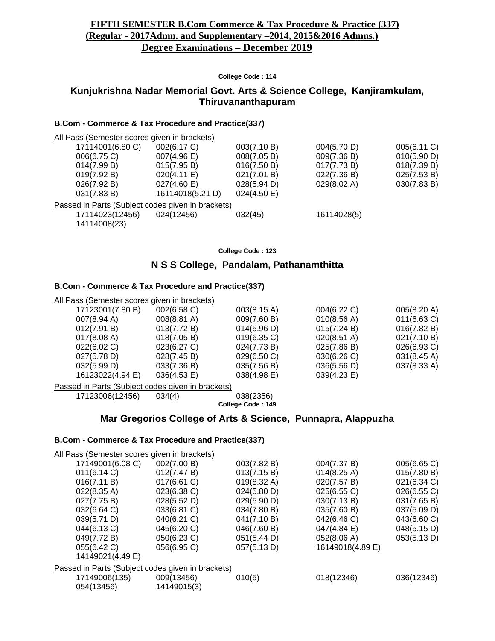## **FIFTH SEMESTER B.Com Commerce & Tax Procedure & Practice (337) (Regular - 2017Admn. and Supplementary –2014, 2015&2016 Admns.) Degree Examinations – December 2019**

#### **College Code : 114**

## **Kunjukrishna Nadar Memorial Govt. Arts & Science College, Kanjiramkulam, Thiruvananthapuram**

#### **B.Com - Commerce & Tax Procedure and Practice(337)**

| All Pass (Semester scores given in brackets)      |                  |             |             |             |  |  |
|---------------------------------------------------|------------------|-------------|-------------|-------------|--|--|
| 17114001(6.80 C)                                  | 002(6.17 C)      | 003(7.10 B) | 004(5.70 D) | 005(6.11 C) |  |  |
| 006(6.75 C)                                       | 007(4.96 E)      | 008(7.05 B) | 009(7.36 B) | 010(5.90 D) |  |  |
| 014(7.99 B)                                       | 015(7.95 B)      | 016(7.50 B) | 017(7.73 B) | 018(7.39 B) |  |  |
| 019(7.92 B)                                       | 020(4.11 E)      | 021(7.01 B) | 022(7.36 B) | 025(7.53 B) |  |  |
| 026(7.92 B)                                       | 027(4.60 E)      | 028(5.94 D) | 029(8.02 A) | 030(7.83 B) |  |  |
| 031(7.83 B)                                       | 16114018(5.21 D) | 024(4.50 E) |             |             |  |  |
| Passed in Parts (Subject codes given in brackets) |                  |             |             |             |  |  |
| 17114023(12456)                                   | 024(12456)       | 032(45)     | 16114028(5) |             |  |  |
| 14114008(23)                                      |                  |             |             |             |  |  |
|                                                   |                  |             |             |             |  |  |

**College Code : 123**

## **N S S College, Pandalam, Pathanamthitta**

#### **B.Com - Commerce & Tax Procedure and Practice(337)**

| All Pass (Semester scores given in brackets)       |                       |                |                       |                       |
|----------------------------------------------------|-----------------------|----------------|-----------------------|-----------------------|
| 17123001(7.80 B)                                   | $002(6.58)$ C)        | 003(8.15 A)    | 004(6.22 C)           | 005(8.20 A)           |
| $007(8.94 \text{ A})$                              | 008(8.81 A)           | 009(7.60 B)    | 010(8.56 A)           | $011(6.63)$ C)        |
| 012(7.91 B)                                        | 013(7.72 B)           | 014(5.96 D)    | 015(7.24 B)           | 016(7.82 B)           |
| 017(8.08 A)                                        | 018(7.05 B)           | $019(6.35)$ C) | 020(8.51 A)           | 021(7.10 B)           |
| 022(6.02 C)                                        | 023(6.27 C)           | 024(7.73 B)    | 025(7.86 B)           | 026(6.93 C)           |
| 027(5.78 D)                                        | 028(7.45 B)           | 029(6.50 C)    | 030(6.26 C)           | $031(8.45 \text{ A})$ |
| 032(5.99 D)                                        | 033(7.36 B)           | 035(7.56 B)    | 036(5.56 D)           | 037(8.33 A)           |
| 16123022(4.94 E)                                   | $036(4.53 \text{ E})$ | $038(4.98)$ E) | $039(4.23 \text{ E})$ |                       |
| Despeakin Derta (Cubiest eagles given in breakata) |                       |                |                       |                       |

Passed in Parts (Subject codes given in brackets)

17123006(12456) 034(4) 038(2356) **College Code : 149**

## **Mar Gregorios College of Arts & Science, Punnapra, Alappuzha**

| All Pass (Semester scores given in brackets)      |             |                       |             |  |  |  |
|---------------------------------------------------|-------------|-----------------------|-------------|--|--|--|
| 002(7.00 B)                                       | 003(7.82 B) | 004(7.37 B)           | 005(6.65 C) |  |  |  |
| 012(7.47 B)                                       | 013(7.15 B) | $014(8.25 \text{ A})$ | 015(7.80 B) |  |  |  |
| 017(6.61 C)                                       | 019(8.32 A) | 020(7.57 B)           | 021(6.34 C) |  |  |  |
| 023(6.38 C)                                       | 024(5.80 D) | 025(6.55 C)           | 026(6.55 C) |  |  |  |
| 028(5.52 D)                                       | 029(5.90 D) | 030(7.13 B)           | 031(7.65 B) |  |  |  |
| 033(6.81 C)                                       | 034(7.80 B) | 035(7.60 B)           | 037(5.09 D) |  |  |  |
| 040(6.21 C)                                       | 041(7.10 B) | 042(6.46 C)           | 043(6.60 C) |  |  |  |
| 045(6.20 C)                                       | 046(7.60 B) | 047(4.84 E)           | 048(5.15 D) |  |  |  |
| 050(6.23 C)                                       | 051(5.44 D) | 052(8.06 A)           | 053(5.13 D) |  |  |  |
| 056(6.95 C)                                       | 057(5.13 D) | 16149018(4.89 E)      |             |  |  |  |
|                                                   |             |                       |             |  |  |  |
| Passed in Parts (Subject codes given in brackets) |             |                       |             |  |  |  |
| 009(13456)                                        | 010(5)      | 018(12346)            | 036(12346)  |  |  |  |
| 14149015(3)                                       |             |                       |             |  |  |  |
|                                                   |             |                       |             |  |  |  |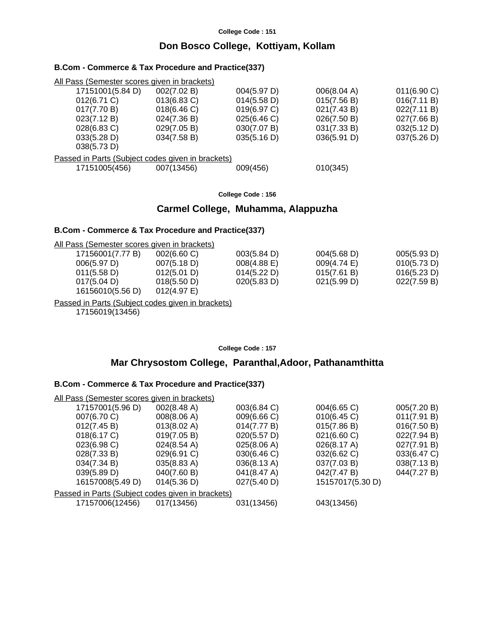## **Don Bosco College, Kottiyam, Kollam**

#### **B.Com - Commerce & Tax Procedure and Practice(337)**

| All Pass (Semester scores given in brackets)      |                |             |             |                |
|---------------------------------------------------|----------------|-------------|-------------|----------------|
| 17151001(5.84 D)                                  | 002(7.02 B)    | 004(5.97 D) | 006(8.04 A) | $011(6.90)$ C) |
| 012(6.71 C)                                       | $013(6.83)$ C) | 014(5.58 D) | 015(7.56 B) | 016(7.11 B)    |
| 017(7.70 B)                                       | 018(6.46)      | 019(6.97 C) | 021(7.43 B) | 022(7.11 B)    |
| 023(7.12 B)                                       | 024(7.36 B)    | 025(6.46)   | 026(7.50 B) | 027(7.66 B)    |
| 028(6.83 C)                                       | 029(7.05 B)    | 030(7.07 B) | 031(7.33 B) | 032(5.12 D)    |
| 033(5.28 D)                                       | 034(7.58 B)    | 035(5.16 D) | 036(5.91 D) | 037(5.26 D)    |
| 038(5.73 D)                                       |                |             |             |                |
| Passed in Parts (Subject codes given in brackets) |                |             |             |                |
| 17151005(456)                                     | 007(13456)     | 009(456)    | 010(345)    |                |
|                                                   |                |             |             |                |

**College Code : 156**

#### **Carmel College, Muhamma, Alappuzha**

#### **B.Com - Commerce & Tax Procedure and Practice(337)**

All Pass (Semester scores given in brackets)

| 17156001(7.77 B) | $002(6.60 \, \text{C})$ | 003(5.84 D)    | 004(5.68 D)           | 005(5.93 D) |
|------------------|-------------------------|----------------|-----------------------|-------------|
| 006(5.97 D)      | 007(5.18 D)             | $008(4.88)$ E) | $009(4.74 \text{ E})$ | 010(5.73 D) |
| 011(5.58 D)      | 012(5.01 D)             | 014(5.22 D)    | 015(7.61 B)           | 016(5.23 D) |
| 017(5.04 D)      | 018(5.50 D)             | 020(5.83 D)    | 021(5.99 D)           | 022(7.59 B) |
| 16156010(5.56 D) | $012(4.97)$ E)          |                |                       |             |

Passed in Parts (Subject codes given in brackets)

17156019(13456)

**College Code : 157**

## **Mar Chrysostom College, Paranthal,Adoor, Pathanamthitta**

| All Pass (Semester scores given in brackets)      |                       |             |                  |             |  |  |
|---------------------------------------------------|-----------------------|-------------|------------------|-------------|--|--|
| 17157001(5.96 D)                                  | 002(8.48 A)           | 003(6.84 C) | 004(6.65 C)      | 005(7.20 B) |  |  |
| 007(6.70 C)                                       | 008(8.06 A)           | 009(6.66 C) | 010(6.45)        | 011(7.91 B) |  |  |
| 012(7.45 B)                                       | 013(8.02 A)           | 014(7.77 B) | 015(7.86 B)      | 016(7.50 B) |  |  |
| 018(6.17 C)                                       | 019(7.05 B)           | 020(5.57 D) | 021(6.60 C)      | 022(7.94 B) |  |  |
| 023(6.98 C)                                       | $024(8.54 \text{ A})$ | 025(8.06 A) | 026(8.17 A)      | 027(7.91 B) |  |  |
| 028(7.33 B)                                       | 029(6.91 C)           | 030(6.46 C) | 032(6.62 C)      | 033(6.47 C) |  |  |
| 034(7.34 B)                                       | 035(8.83 A)           | 036(8.13 A) | 037(7.03 B)      | 038(7.13 B) |  |  |
| 039(5.89 D)                                       | 040(7.60 B)           | 041(8.47 A) | 042(7.47 B)      | 044(7.27 B) |  |  |
| 16157008(5.49 D)                                  | 014(5.36 D)           | 027(5.40 D) | 15157017(5.30 D) |             |  |  |
| Passed in Parts (Subject codes given in brackets) |                       |             |                  |             |  |  |
| 17157006(12456)                                   | 017(13456)            | 031(13456)  | 043(13456)       |             |  |  |
|                                                   |                       |             |                  |             |  |  |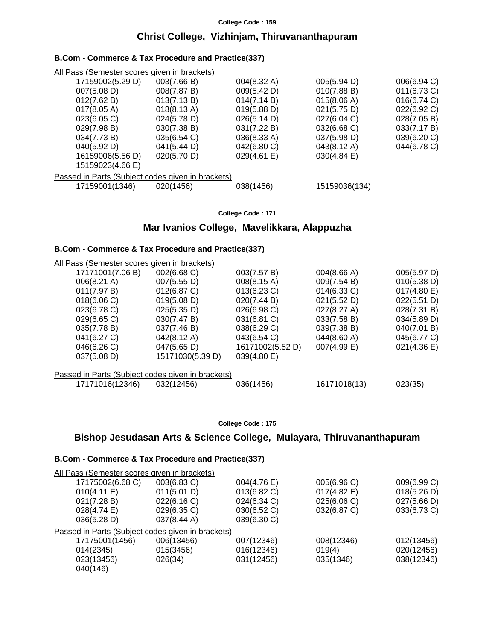## **Christ College, Vizhinjam, Thiruvananthapuram**

#### **B.Com - Commerce & Tax Procedure and Practice(337)**

| All Pass (Semester scores given in brackets)      |             |             |               |                |  |  |
|---------------------------------------------------|-------------|-------------|---------------|----------------|--|--|
| 17159002(5.29 D)                                  | 003(7.66 B) | 004(8.32 A) | 005(5.94 D)   | 006(6.94 C)    |  |  |
| 007(5.08 D)                                       | 008(7.87 B) | 009(5.42 D) | 010(7.88 B)   | $011(6.73)$ C) |  |  |
| 012(7.62 B)                                       | 013(7.13 B) | 014(7.14 B) | 015(8.06 A)   | 016(6.74)      |  |  |
| 017(8.05 A)                                       | 018(8.13 A) | 019(5.88 D) | 021(5.75 D)   | 022(6.92 C)    |  |  |
| 023(6.05 C)                                       | 024(5.78 D) | 026(5.14 D) | 027(6.04 C)   | 028(7.05 B)    |  |  |
| 029(7.98 B)                                       | 030(7.38 B) | 031(7.22 B) | 032(6.68 C)   | 033(7.17 B)    |  |  |
| 034(7.73 B)                                       | 035(6.54 C) | 036(8.33 A) | 037(5.98 D)   | 039(6.20 C)    |  |  |
| 040(5.92 D)                                       | 041(5.44 D) | 042(6.80 C) | 043(8.12 A)   | 044(6.78 C)    |  |  |
| 16159006(5.56 D)                                  | 020(5.70 D) | 029(4.61 E) | 030(4.84 E)   |                |  |  |
| 15159023(4.66 E)                                  |             |             |               |                |  |  |
| Passed in Parts (Subject codes given in brackets) |             |             |               |                |  |  |
| 17159001(1346)                                    | 020(1456)   | 038(1456)   | 15159036(134) |                |  |  |
|                                                   |             |             |               |                |  |  |

**College Code : 171**

## **Mar Ivanios College, Mavelikkara, Alappuzha**

#### **B.Com - Commerce & Tax Procedure and Practice(337)**

| All Pass (Semester scores given in brackets)      |                  |                  |                |                |  |  |
|---------------------------------------------------|------------------|------------------|----------------|----------------|--|--|
| 17171001(7.06 B)                                  | 002(6.68 C)      | 003(7.57 B)      | 004(8.66 A)    | 005(5.97 D)    |  |  |
| 006(8.21 A)                                       | 007(5.55 D)      | 008(8.15 A)      | 009(7.54 B)    | 010(5.38 D)    |  |  |
| 011(7.97 B)                                       | 012(6.87 C)      | $013(6.23)$ C)   | $014(6.33)$ C) | 017(4.80 E)    |  |  |
| 018(6.06 C)                                       | 019(5.08 D)      | 020(7.44 B)      | 021(5.52 D)    | 022(5.51 D)    |  |  |
| 023(6.78 C)                                       | 025(5.35 D)      | 026(6.98 C)      | 027(8.27 A)    | 028(7.31 B)    |  |  |
| 029(6.65)                                         | 030(7.47 B)      | 031(6.81 C)      | 033(7.58 B)    | 034(5.89 D)    |  |  |
| 035(7.78 B)                                       | 037(7.46 B)      | 038(6.29 C)      | 039(7.38 B)    | 040(7.01 B)    |  |  |
| 041(6.27 C)                                       | 042(8.12 A)      | 043(6.54 C)      | 044(8.60 A)    | 045(6.77 C)    |  |  |
| 046(6.26 C)                                       | 047(5.65 D)      | 16171002(5.52 D) | 007(4.99 E)    | $021(4.36)$ E) |  |  |
| 037(5.08 D)                                       | 15171030(5.39 D) | 039(4.80 E)      |                |                |  |  |
| Passed in Parts (Subject codes given in brackets) |                  |                  |                |                |  |  |
| 17171016(12346)                                   | 032(12456)       | 036(1456)        | 16171018(13)   | 023(35)        |  |  |

#### **College Code : 175**

## **Bishop Jesudasan Arts & Science College, Mulayara, Thiruvananthapuram**

| All Pass (Semester scores given in brackets)      |             |             |                |             |
|---------------------------------------------------|-------------|-------------|----------------|-------------|
| 17175002(6.68 C)                                  | 003(6.83 C) | 004(4.76 E) | 005(6.96 C)    | 009(6.99 C) |
| 010(4.11 E)                                       | 011(5.01 D) | 013(6.82 C) | $017(4.82)$ E) | 018(5.26 D) |
| 021(7.28 B)                                       | 022(6.16 C) | 024(6.34 C) | 025(6.06 C)    | 027(5.66 D) |
| 028(4.74 E)                                       | 029(6.35 C) | 030(6.52 C) | 032(6.87 C)    | 033(6.73 C) |
| 036(5.28 D)                                       | 037(8.44 A) | 039(6.30 C) |                |             |
| Passed in Parts (Subject codes given in brackets) |             |             |                |             |
| 17175001(1456)                                    | 006(13456)  | 007(12346)  | 008(12346)     | 012(13456)  |
| 014(2345)                                         | 015(3456)   | 016(12346)  | 019(4)         | 020(12456)  |
| 023(13456)                                        | 026(34)     | 031(12456)  | 035(1346)      | 038(12346)  |
| 040(146)                                          |             |             |                |             |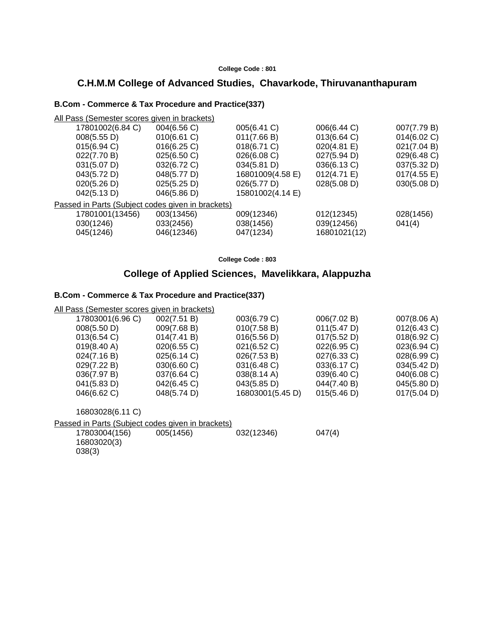## **C.H.M.M College of Advanced Studies, Chavarkode, Thiruvananthapuram**

#### **B.Com - Commerce & Tax Procedure and Practice(337)**

| All Pass (Semester scores given in brackets)      |             |                  |              |                       |
|---------------------------------------------------|-------------|------------------|--------------|-----------------------|
| 17801002(6.84 C)                                  | 004(6.56 C) | 005(6.41 C)      | 006(6.44 C)  | 007(7.79 B)           |
| 008(5.55 D)                                       | 010(6.61 C) | 011(7.66 B)      | 013(6.64 C)  | 014(6.02 C)           |
| $015(6.94)$ C)                                    | 016(6.25)   | 018(6.71 C)      | 020(4.81 E)  | 021(7.04 B)           |
| 022(7.70 B)                                       | 025(6.50 C) | 026(6.08 C)      | 027(5.94 D)  | 029(6.48 C)           |
| 031(5.07 D)                                       | 032(6.72 C) | 034(5.81 D)      | 036(6.13 C)  | 037(5.32 D)           |
| 043(5.72 D)                                       | 048(5.77 D) | 16801009(4.58 E) | 012(4.71 E)  | $017(4.55 \text{ E})$ |
| 020(5.26 D)                                       | 025(5.25 D) | 026(5.77 D)      | 028(5.08 D)  | 030(5.08 D)           |
| 042(5.13 D)                                       | 046(5.86 D) | 15801002(4.14 E) |              |                       |
| Passed in Parts (Subject codes given in brackets) |             |                  |              |                       |
| 17801001(13456)                                   | 003(13456)  | 009(12346)       | 012(12345)   | 028(1456)             |
| 030(1246)                                         | 033(2456)   | 038(1456)        | 039(12456)   | 041(4)                |
| 045(1246)                                         | 046(12346)  | 047(1234)        | 16801021(12) |                       |
|                                                   |             |                  |              |                       |

**College Code : 803**

## **College of Applied Sciences, Mavelikkara, Alappuzha**

#### **B.Com - Commerce & Tax Procedure and Practice(337)**

All Pass (Semester scores given in brackets)

| 17803001(6.96 C)      | 002(7.51 B) | 003(6.79 C)           | 006(7.02 B) | 007(8.06 A)    |
|-----------------------|-------------|-----------------------|-------------|----------------|
| 008(5.50 D)           | 009(7.68 B) | 010(7.58 B)           | 011(5.47 D) | 012(6.43 C)    |
| 013(6.54 C)           | 014(7.41 B) | 016(5.56 D)           | 017(5.52 D) | 018(6.92 C)    |
| $019(8.40 \text{ A})$ | 020(6.55 C) | 021(6.52 C)           | 022(6.95 C) | 023(6.94 C)    |
| 024(7.16 B)           | 025(6.14 C) | 026(7.53 B)           | 027(6.33 C) | 028(6.99 C)    |
| 029(7.22 B)           | 030(6.60 C) | 031(6.48 C)           | 033(6.17 C) | 034(5.42 D)    |
| 036(7.97 B)           | 037(6.64 C) | $038(8.14 \text{ A})$ | 039(6.40 C) | $040(6.08)$ C) |
| 041(5.83 D)           | 042(6.45 C) | 043(5.85 D)           | 044(7.40 B) | 045(5.80 D)    |
| 046(6.62 C)           | 048(5.74 D) | 16803001(5.45 D)      | 015(5.46 D) | 017(5.04 D)    |
|                       |             |                       |             |                |

16803028(6.11 C)

Passed in Parts (Subject codes given in brackets)

| 17803004(156) | 005(1456) | 032(12346) | 047(4) |
|---------------|-----------|------------|--------|
| 16803020(3)   |           |            |        |
| 038(3)        |           |            |        |
|               |           |            |        |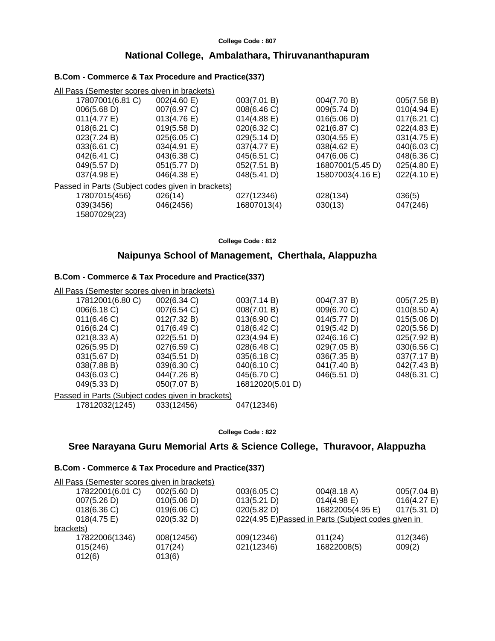## **National College, Ambalathara, Thiruvananthapuram**

## **B.Com - Commerce & Tax Procedure and Practice(337)**

| All Pass (Semester scores given in brackets)      |             |                       |                  |                |
|---------------------------------------------------|-------------|-----------------------|------------------|----------------|
| 17807001(6.81 C)                                  | 002(4.60 E) | 003(7.01 B)           | 004(7.70 B)      | 005(7.58 B)    |
| 006(5.68 D)                                       | 007(6.97 C) | 008(6.46 C)           | 009(5.74 D)      | 010(4.94 E)    |
| 011(4.77 E)                                       | 013(4.76 E) | $014(4.88 \text{ E})$ | 016(5.06 D)      | $017(6.21)$ C) |
| 018(6.21 C)                                       | 019(5.58 D) | 020(6.32 C)           | 021(6.87 C)      | 022(4.83 E)    |
| 023(7.24 B)                                       | 025(6.05 C) | 029(5.14 D)           | 030(4.55 E)      | 031(4.75 E)    |
| 033(6.61 C)                                       | 034(4.91 E) | 037(4.77 E)           | 038(4.62 E)      | 040(6.03 C)    |
| 042(6.41 C)                                       | 043(6.38 C) | 045(6.51 C)           | 047(6.06 C)      | 048(6.36 C)    |
| 049(5.57 D)                                       | 051(5.77 D) | 052(7.51 B)           | 16807001(5.45 D) | 025(4.80 E)    |
| 037(4.98 E)                                       | 046(4.38 E) | 048(5.41 D)           | 15807003(4.16 E) | 022(4.10 E)    |
| Passed in Parts (Subject codes given in brackets) |             |                       |                  |                |
| 17807015(456)                                     | 026(14)     | 027(12346)            | 028(134)         | 036(5)         |
| 039(3456)                                         | 046(2456)   | 16807013(4)           | 030(13)          | 047(246)       |
| 15807029(23)                                      |             |                       |                  |                |

**College Code : 812**

## **Naipunya School of Management, Cherthala, Alappuzha**

## **B.Com - Commerce & Tax Procedure and Practice(337)**

| All Pass (Semester scores given in brackets) |                  |                                                   |             |
|----------------------------------------------|------------------|---------------------------------------------------|-------------|
| 002(6.34 C)                                  | 003(7.14 B)      | 004(7.37 B)                                       | 005(7.25 B) |
| 007(6.54 C)                                  | 008(7.01 B)      | 009(6.70 C)                                       | 010(8.50 A) |
| 012(7.32 B)                                  | 013(6.90 C)      | 014(5.77 D)                                       | 015(5.06 D) |
| 017(6.49 C)                                  | 018(6.42 C)      | 019(5.42 D)                                       | 020(5.56 D) |
| 022(5.51 D)                                  | 023(4.94 E)      | 024(6.16 C)                                       | 025(7.92 B) |
| 027(6.59 C)                                  | 028(6.48 C)      | 029(7.05 B)                                       | 030(6.56 C) |
| 034(5.51 D)                                  | 035(6.18)        | 036(7.35 B)                                       | 037(7.17 B) |
| 039(6.30 C)                                  | 040(6.10 C)      | 041(7.40 B)                                       | 042(7.43 B) |
| 044(7.26 B)                                  | 045(6.70 C)      | 046(5.51 D)                                       | 048(6.31 C) |
| 050(7.07 B)                                  | 16812020(5.01 D) |                                                   |             |
|                                              |                  |                                                   |             |
| 033(12456)                                   | 047(12346)       |                                                   |             |
|                                              |                  | Passed in Parts (Subject codes given in brackets) |             |

**College Code : 822**

## **Sree Narayana Guru Memorial Arts & Science College, Thuravoor, Alappuzha**

| 005(7.04 B)<br>$016(4.27)$ E)                       |
|-----------------------------------------------------|
|                                                     |
|                                                     |
| 017(5.31 D)                                         |
| 022(4.95 E) Passed in Parts (Subject codes given in |
|                                                     |
| 012(346)                                            |
|                                                     |
|                                                     |
|                                                     |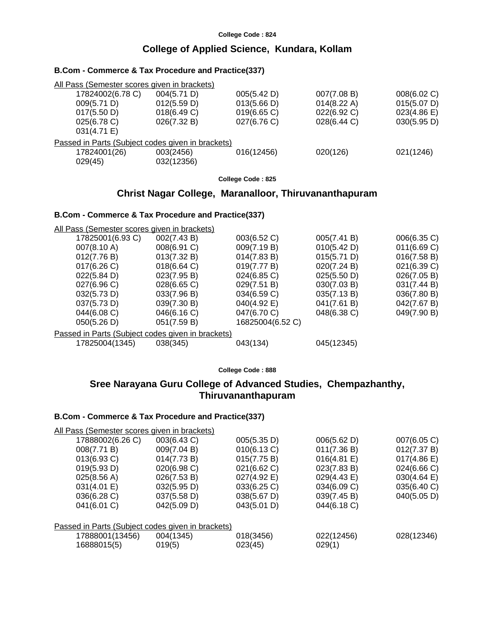## **College of Applied Science, Kundara, Kollam**

| All Pass (Semester scores given in brackets)      |             |             |             |             |
|---------------------------------------------------|-------------|-------------|-------------|-------------|
| 17824002(6.78 C)                                  | 004(5.71 D) | 005(5.42 D) | 007(7.08 B) | 008(6.02 C) |
| 009(5.71 D)                                       | 012(5.59 D) | 013(5.66 D) | 014(8.22 A) | 015(5.07 D) |
| 017(5.50 D)                                       | 018(6.49 C) | 019(6.65)   | 022(6.92 C) | 023(4.86)   |
| $025(6.78)$ C)                                    | 026(7.32 B) | 027(6.76 C) | 028(6.44 C) | 030(5.95 D) |
| 031(4.71 E)                                       |             |             |             |             |
| Passed in Parts (Subject codes given in brackets) |             |             |             |             |
| 17824001(26)                                      | 003(2456)   | 016(12456)  | 020(126)    | 021(1246)   |
| 029(45)                                           | 032(12356)  |             |             |             |
|                                                   |             |             |             |             |

**College Code : 825**

#### **Christ Nagar College, Maranalloor, Thiruvananthapuram**

## **B.Com - Commerce & Tax Procedure and Practice(337)**

**B.Com - Commerce & Tax Procedure and Practice(337)**

All Pass (Semester scores given in brackets)

| 17825001(6.93 C)                                  | 002(7.43 B) | 003(6.52 C)      | 005(7.41 B) | 006(6.35 C) |
|---------------------------------------------------|-------------|------------------|-------------|-------------|
| 007(8.10 A)                                       | 008(6.91 C) | 009(7.19 B)      | 010(5.42 D) | 011(6.69 C) |
| 012(7.76 B)                                       | 013(7.32 B) | 014(7.83 B)      | 015(5.71 D) | 016(7.58 B) |
| 017(6.26)                                         | 018(6.64)   | 019(7.77 B)      | 020(7.24 B) | 021(6.39 C) |
| 022(5.84 D)                                       | 023(7.95 B) | 024(6.85 C)      | 025(5.50 D) | 026(7.05 B) |
| 027(6.96 C)                                       | 028(6.65)   | 029(7.51 B)      | 030(7.03 B) | 031(7.44 B) |
| 032(5.73 D)                                       | 033(7.96 B) | 034(6.59 C)      | 035(7.13 B) | 036(7.80 B) |
| 037(5.73 D)                                       | 039(7.30 B) | 040(4.92 E)      | 041(7.61 B) | 042(7.67 B) |
| 044(6.08 C)                                       | 046(6.16 C) | 047(6.70 C)      | 048(6.38 C) | 049(7.90 B) |
| 050(5.26 D)                                       | 051(7.59 B) | 16825004(6.52 C) |             |             |
| Passed in Parts (Subject codes given in brackets) |             |                  |             |             |
| 17825004(1345)                                    | 038(345)    | 043(134)         | 045(12345)  |             |
|                                                   |             |                  |             |             |

**College Code : 888**

## **Sree Narayana Guru College of Advanced Studies, Chempazhanthy, Thiruvananthapuram**

| All Pass (Semester scores given in brackets)      |             |             |             |                       |  |  |
|---------------------------------------------------|-------------|-------------|-------------|-----------------------|--|--|
| 17888002(6.26 C)                                  | 003(6.43 C) | 005(5.35 D) | 006(5.62 D) | 007(6.05 C)           |  |  |
| 008(7.71 B)                                       | 009(7.04 B) | 010(6.13 C) | 011(7.36 B) | 012(7.37 B)           |  |  |
| $013(6.93)$ C)                                    | 014(7.73 B) | 015(7.75 B) | 016(4.81 E) | $017(4.86 \text{ E})$ |  |  |
| 019(5.93 D)                                       | 020(6.98 C) | 021(6.62 C) | 023(7.83 B) | 024(6.66 C)           |  |  |
| 025(8.56 A)                                       | 026(7.53 B) | 027(4.92 E) | 029(4.43 E) | 030(4.64 E)           |  |  |
| 031(4.01 E)                                       | 032(5.95 D) | 033(6.25 C) | 034(6.09 C) | 035(6.40 C)           |  |  |
| 036(6.28 C)                                       | 037(5.58 D) | 038(5.67 D) | 039(7.45 B) | 040(5.05 D)           |  |  |
| 041(6.01 C)                                       | 042(5.09 D) | 043(5.01 D) | 044(6.18 C) |                       |  |  |
|                                                   |             |             |             |                       |  |  |
| Passed in Parts (Subject codes given in brackets) |             |             |             |                       |  |  |
| 17888001(13456)                                   | 004(1345)   | 018(3456)   | 022(12456)  | 028(12346)            |  |  |
| 16888015(5)                                       | 019(5)      | 023(45)     | 029(1)      |                       |  |  |
|                                                   |             |             |             |                       |  |  |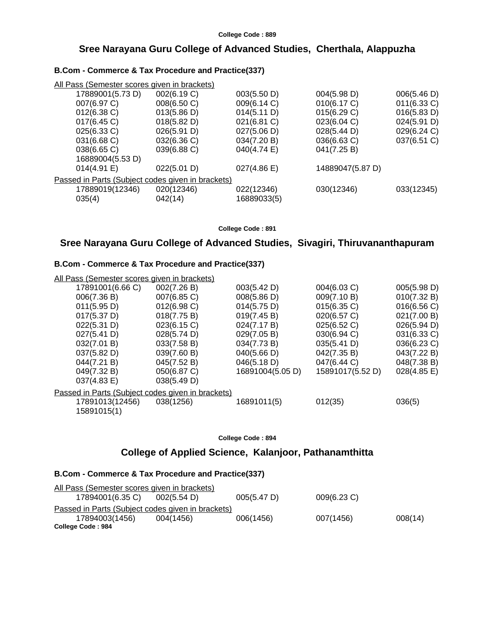## **Sree Narayana Guru College of Advanced Studies, Cherthala, Alappuzha**

#### **B.Com - Commerce & Tax Procedure and Practice(337)**

| All Pass (Semester scores given in brackets)      |             |             |                  |                |
|---------------------------------------------------|-------------|-------------|------------------|----------------|
| 17889001(5.73 D)                                  | 002(6.19 C) | 003(5.50 D) | 004(5.98 D)      | 006(5.46 D)    |
| 007(6.97 C)                                       | 008(6.50 C) | 009(6.14 C) | 010(6.17 C)      | $011(6.33)$ C) |
| $012(6.38)$ C)                                    | 013(5.86 D) | 014(5.11 D) | 015(6.29 C)      | 016(5.83 D)    |
| $017(6.45)$ C)                                    | 018(5.82 D) | 021(6.81 C) | 023(6.04 C)      | 024(5.91 D)    |
| 025(6.33 C)                                       | 026(5.91 D) | 027(5.06 D) | 028(5.44 D)      | 029(6.24 C)    |
| 031(6.68 C)                                       | 032(6.36 C) | 034(7.20 B) | 036(6.63 C)      | 037(6.51 C)    |
| 038(6.65 C)                                       | 039(6.88 C) | 040(4.74 E) | 041(7.25 B)      |                |
| 16889004(5.53 D)                                  |             |             |                  |                |
| 014(4.91 E)                                       | 022(5.01 D) | 027(4.86 E) | 14889047(5.87 D) |                |
| Passed in Parts (Subject codes given in brackets) |             |             |                  |                |
| 17889019(12346)                                   | 020(12346)  | 022(12346)  | 030(12346)       | 033(12345)     |
| 035(4)                                            | 042(14)     | 16889033(5) |                  |                |

**College Code : 891**

## **Sree Narayana Guru College of Advanced Studies, Sivagiri, Thiruvananthapuram**

#### **B.Com - Commerce & Tax Procedure and Practice(337)**

| <u>All Pass (Semester scores given in brackets)</u> |                                                   |                  |                  |                       |
|-----------------------------------------------------|---------------------------------------------------|------------------|------------------|-----------------------|
| 17891001(6.66 C)                                    | 002(7.26 B)                                       | 003(5.42 D)      | 004(6.03 C)      | 005(5.98 D)           |
| 006(7.36 B)                                         | 007(6.85 C)                                       | 008(5.86 D)      | 009(7.10 B)      | 010(7.32 B)           |
| 011(5.95 D)                                         | $012(6.98)$ C)                                    | 014(5.75 D)      | 015(6.35 C)      | 016(6.56 C)           |
| 017(5.37 D)                                         | 018(7.75 B)                                       | 019(7.45 B)      | 020(6.57 C)      | 021(7.00 B)           |
| 022(5.31 D)                                         | 023(6.15 C)                                       | 024(7.17 B)      | 025(6.52 C)      | 026(5.94 D)           |
| 027(5.41 D)                                         | 028(5.74 D)                                       | 029(7.05 B)      | 030(6.94 C)      | 031(6.33 C)           |
| 032(7.01 B)                                         | 033(7.58 B)                                       | 034(7.73 B)      | 035(5.41 D)      | 036(6.23 C)           |
| 037(5.82 D)                                         | 039(7.60 B)                                       | 040(5.66 D)      | 042(7.35 B)      | 043(7.22 B)           |
| 044(7.21 B)                                         | 045(7.52 B)                                       | 046(5.18 D)      | 047(6.44 C)      | 048(7.38 B)           |
| 049(7.32 B)                                         | 050(6.87 C)                                       | 16891004(5.05 D) | 15891017(5.52 D) | $028(4.85 \text{ E})$ |
| 037(4.83 E)                                         | 038(5.49 D)                                       |                  |                  |                       |
|                                                     | Passed in Parts (Subject codes given in brackets) |                  |                  |                       |
| 17891013(12456)<br>15891015(1)                      | 038(1256)                                         | 16891011(5)      | 012(35)          | 036(5)                |
|                                                     |                                                   |                  |                  |                       |

#### **College Code : 894**

## **College of Applied Science, Kalanjoor, Pathanamthitta**

| All Pass (Semester scores given in brackets)      |             |             |             |         |
|---------------------------------------------------|-------------|-------------|-------------|---------|
| 17894001(6.35 C)                                  | 002(5.54 D) | 005(5.47 D) | 009(6.23 C) |         |
| Passed in Parts (Subject codes given in brackets) |             |             |             |         |
| 17894003(1456)                                    | 004(1456)   | 006(1456)   | 007(1456)   | 008(14) |
| College Code: 984                                 |             |             |             |         |